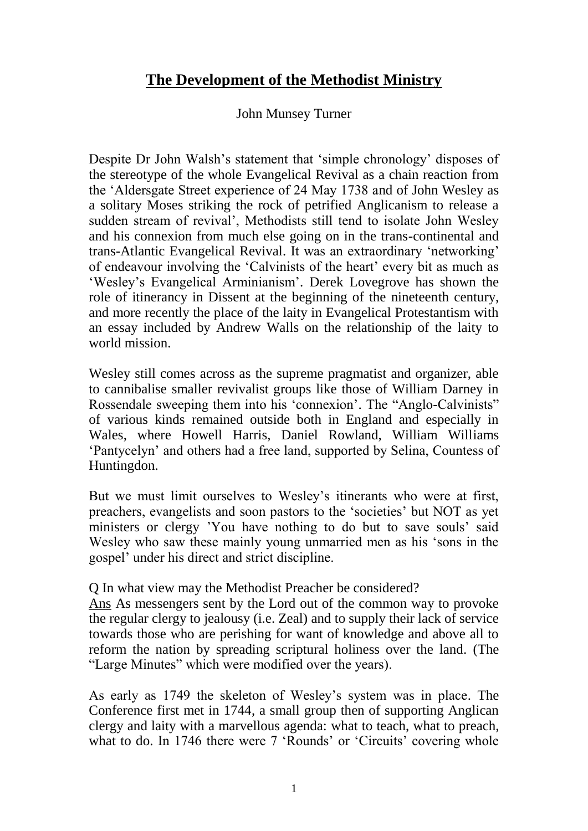## **The Development of the Methodist Ministry**

## John Munsey Turner

Despite Dr John Walsh's statement that 'simple chronology' disposes of the stereotype of the whole Evangelical Revival as a chain reaction from the 'Aldersgate Street experience of 24 May 1738 and of John Wesley as a solitary Moses striking the rock of petrified Anglicanism to release a sudden stream of revival', Methodists still tend to isolate John Wesley and his connexion from much else going on in the trans-continental and trans-Atlantic Evangelical Revival. It was an extraordinary 'networking' of endeavour involving the 'Calvinists of the heart' every bit as much as 'Wesley's Evangelical Arminianism'. Derek Lovegrove has shown the role of itinerancy in Dissent at the beginning of the nineteenth century, and more recently the place of the laity in Evangelical Protestantism with an essay included by Andrew Walls on the relationship of the laity to world mission.

Wesley still comes across as the supreme pragmatist and organizer, able to cannibalise smaller revivalist groups like those of William Darney in Rossendale sweeping them into his 'connexion'. The "Anglo-Calvinists" of various kinds remained outside both in England and especially in Wales, where Howell Harris, Daniel Rowland, William Williams 'Pantycelyn' and others had a free land, supported by Selina, Countess of Huntingdon.

But we must limit ourselves to Wesley's itinerants who were at first, preachers, evangelists and soon pastors to the 'societies' but NOT as yet ministers or clergy 'You have nothing to do but to save souls' said Wesley who saw these mainly young unmarried men as his 'sons in the gospel' under his direct and strict discipline.

## Q In what view may the Methodist Preacher be considered?

Ans As messengers sent by the Lord out of the common way to provoke the regular clergy to jealousy (i.e. Zeal) and to supply their lack of service towards those who are perishing for want of knowledge and above all to reform the nation by spreading scriptural holiness over the land. (The "Large Minutes" which were modified over the years).

As early as 1749 the skeleton of Wesley's system was in place. The Conference first met in 1744, a small group then of supporting Anglican clergy and laity with a marvellous agenda: what to teach, what to preach, what to do. In 1746 there were 7 'Rounds' or 'Circuits' covering whole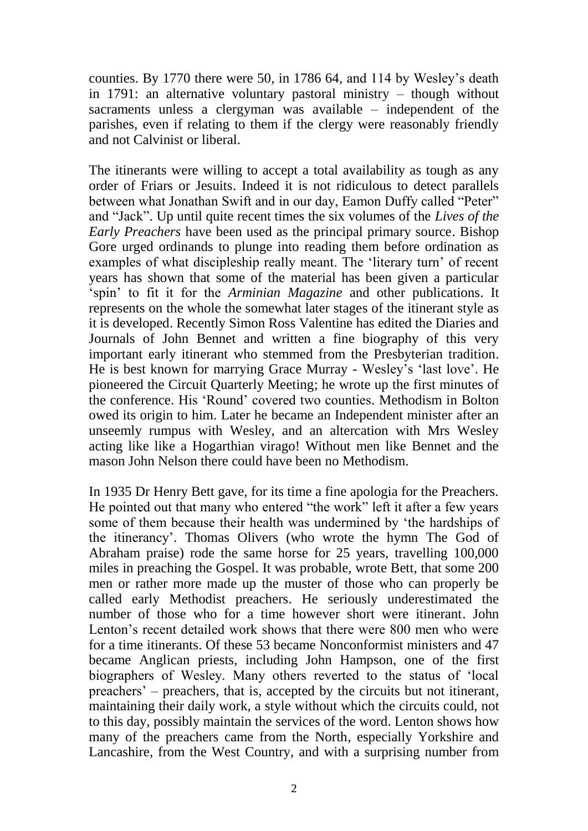counties. By 1770 there were 50, in 1786 64, and 114 by Wesley's death in 1791: an alternative voluntary pastoral ministry – though without sacraments unless a clergyman was available – independent of the parishes, even if relating to them if the clergy were reasonably friendly and not Calvinist or liberal.

The itinerants were willing to accept a total availability as tough as any order of Friars or Jesuits. Indeed it is not ridiculous to detect parallels between what Jonathan Swift and in our day, Eamon Duffy called "Peter" and "Jack". Up until quite recent times the six volumes of the *Lives of the Early Preachers* have been used as the principal primary source. Bishop Gore urged ordinands to plunge into reading them before ordination as examples of what discipleship really meant. The 'literary turn' of recent years has shown that some of the material has been given a particular 'spin' to fit it for the *Arminian Magazine* and other publications. It represents on the whole the somewhat later stages of the itinerant style as it is developed. Recently Simon Ross Valentine has edited the Diaries and Journals of John Bennet and written a fine biography of this very important early itinerant who stemmed from the Presbyterian tradition. He is best known for marrying Grace Murray - Wesley's 'last love'. He pioneered the Circuit Quarterly Meeting; he wrote up the first minutes of the conference. His 'Round' covered two counties. Methodism in Bolton owed its origin to him. Later he became an Independent minister after an unseemly rumpus with Wesley, and an altercation with Mrs Wesley acting like like a Hogarthian virago! Without men like Bennet and the mason John Nelson there could have been no Methodism.

In 1935 Dr Henry Bett gave, for its time a fine apologia for the Preachers. He pointed out that many who entered "the work" left it after a few years some of them because their health was undermined by 'the hardships of the itinerancy'. Thomas Olivers (who wrote the hymn The God of Abraham praise) rode the same horse for 25 years, travelling 100,000 miles in preaching the Gospel. It was probable, wrote Bett, that some 200 men or rather more made up the muster of those who can properly be called early Methodist preachers. He seriously underestimated the number of those who for a time however short were itinerant. John Lenton's recent detailed work shows that there were 800 men who were for a time itinerants. Of these 53 became Nonconformist ministers and 47 became Anglican priests, including John Hampson, one of the first biographers of Wesley. Many others reverted to the status of 'local preachers' – preachers, that is, accepted by the circuits but not itinerant, maintaining their daily work, a style without which the circuits could, not to this day, possibly maintain the services of the word. Lenton shows how many of the preachers came from the North, especially Yorkshire and Lancashire, from the West Country, and with a surprising number from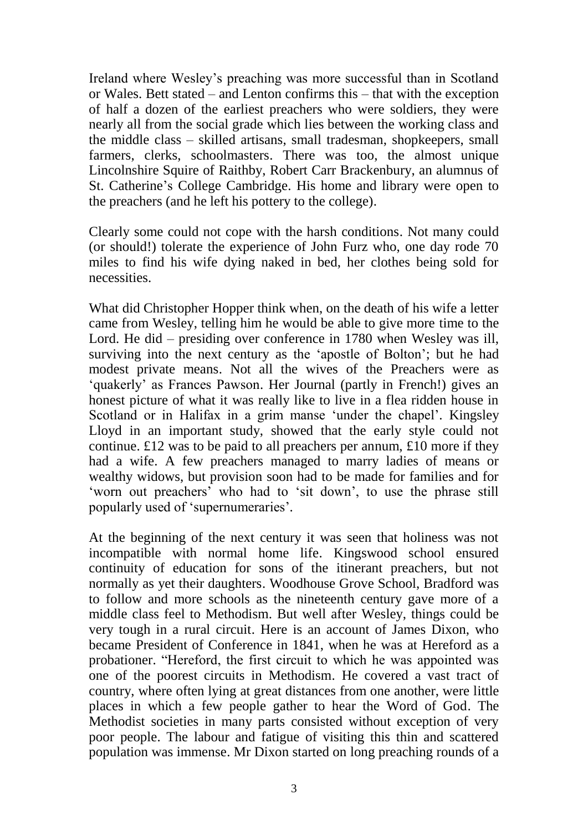Ireland where Wesley's preaching was more successful than in Scotland or Wales. Bett stated – and Lenton confirms this – that with the exception of half a dozen of the earliest preachers who were soldiers, they were nearly all from the social grade which lies between the working class and the middle class – skilled artisans, small tradesman, shopkeepers, small farmers, clerks, schoolmasters. There was too, the almost unique Lincolnshire Squire of Raithby, Robert Carr Brackenbury, an alumnus of St. Catherine's College Cambridge. His home and library were open to the preachers (and he left his pottery to the college).

Clearly some could not cope with the harsh conditions. Not many could (or should!) tolerate the experience of John Furz who, one day rode 70 miles to find his wife dying naked in bed, her clothes being sold for necessities.

What did Christopher Hopper think when, on the death of his wife a letter came from Wesley, telling him he would be able to give more time to the Lord. He did – presiding over conference in 1780 when Wesley was ill, surviving into the next century as the 'apostle of Bolton'; but he had modest private means. Not all the wives of the Preachers were as 'quakerly' as Frances Pawson. Her Journal (partly in French!) gives an honest picture of what it was really like to live in a flea ridden house in Scotland or in Halifax in a grim manse 'under the chapel'. Kingsley Lloyd in an important study, showed that the early style could not continue.  $\pounds$ 12 was to be paid to all preachers per annum,  $\pounds$ 10 more if they had a wife. A few preachers managed to marry ladies of means or wealthy widows, but provision soon had to be made for families and for 'worn out preachers' who had to 'sit down', to use the phrase still popularly used of 'supernumeraries'.

At the beginning of the next century it was seen that holiness was not incompatible with normal home life. Kingswood school ensured continuity of education for sons of the itinerant preachers, but not normally as yet their daughters. Woodhouse Grove School, Bradford was to follow and more schools as the nineteenth century gave more of a middle class feel to Methodism. But well after Wesley, things could be very tough in a rural circuit. Here is an account of James Dixon, who became President of Conference in 1841, when he was at Hereford as a probationer. "Hereford, the first circuit to which he was appointed was one of the poorest circuits in Methodism. He covered a vast tract of country, where often lying at great distances from one another, were little places in which a few people gather to hear the Word of God. The Methodist societies in many parts consisted without exception of very poor people. The labour and fatigue of visiting this thin and scattered population was immense. Mr Dixon started on long preaching rounds of a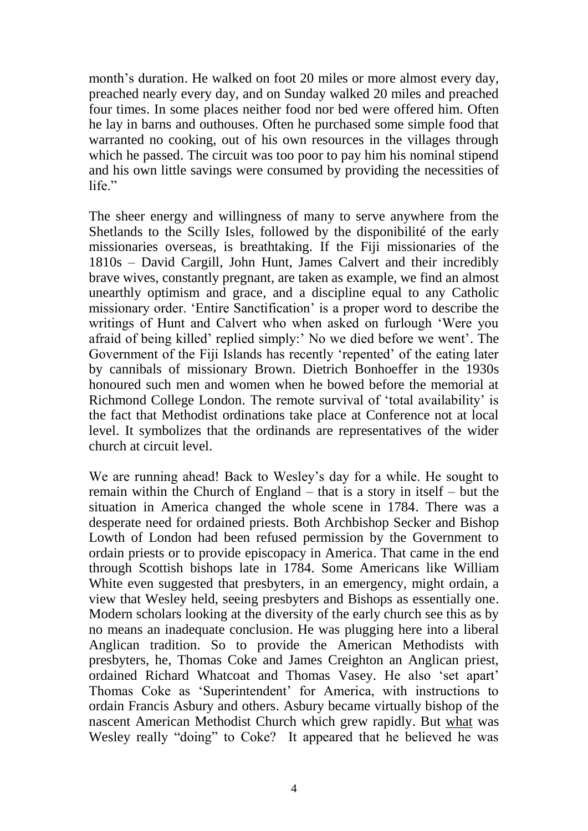month's duration. He walked on foot 20 miles or more almost every day, preached nearly every day, and on Sunday walked 20 miles and preached four times. In some places neither food nor bed were offered him. Often he lay in barns and outhouses. Often he purchased some simple food that warranted no cooking, out of his own resources in the villages through which he passed. The circuit was too poor to pay him his nominal stipend and his own little savings were consumed by providing the necessities of life."

The sheer energy and willingness of many to serve anywhere from the Shetlands to the Scilly Isles, followed by the disponibilité of the early missionaries overseas, is breathtaking. If the Fiji missionaries of the 1810s – David Cargill, John Hunt, James Calvert and their incredibly brave wives, constantly pregnant, are taken as example, we find an almost unearthly optimism and grace, and a discipline equal to any Catholic missionary order. 'Entire Sanctification' is a proper word to describe the writings of Hunt and Calvert who when asked on furlough 'Were you afraid of being killed' replied simply:' No we died before we went'. The Government of the Fiji Islands has recently 'repented' of the eating later by cannibals of missionary Brown. Dietrich Bonhoeffer in the 1930s honoured such men and women when he bowed before the memorial at Richmond College London. The remote survival of 'total availability' is the fact that Methodist ordinations take place at Conference not at local level. It symbolizes that the ordinands are representatives of the wider church at circuit level.

We are running ahead! Back to Wesley's day for a while. He sought to remain within the Church of England – that is a story in itself – but the situation in America changed the whole scene in 1784. There was a desperate need for ordained priests. Both Archbishop Secker and Bishop Lowth of London had been refused permission by the Government to ordain priests or to provide episcopacy in America. That came in the end through Scottish bishops late in 1784. Some Americans like William White even suggested that presbyters, in an emergency, might ordain, a view that Wesley held, seeing presbyters and Bishops as essentially one. Modern scholars looking at the diversity of the early church see this as by no means an inadequate conclusion. He was plugging here into a liberal Anglican tradition. So to provide the American Methodists with presbyters, he, Thomas Coke and James Creighton an Anglican priest, ordained Richard Whatcoat and Thomas Vasey. He also 'set apart' Thomas Coke as 'Superintendent' for America, with instructions to ordain Francis Asbury and others. Asbury became virtually bishop of the nascent American Methodist Church which grew rapidly. But what was Wesley really "doing" to Coke? It appeared that he believed he was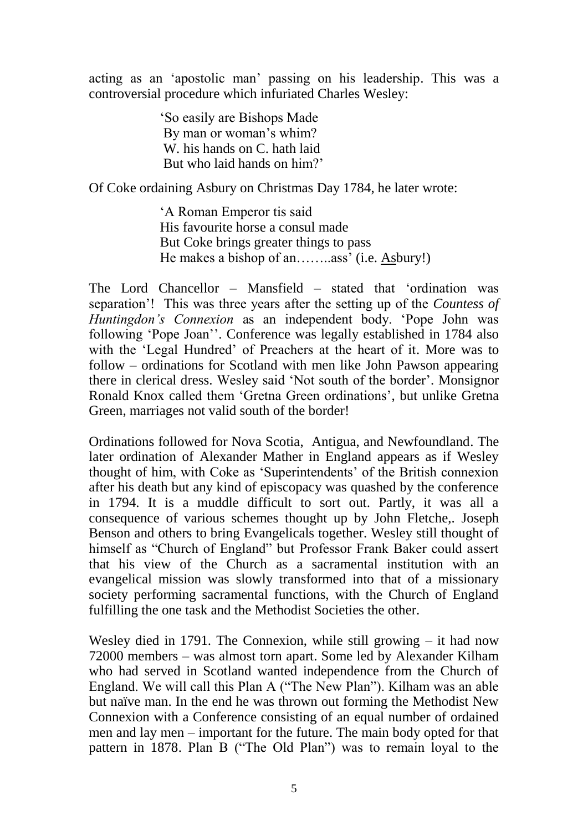acting as an 'apostolic man' passing on his leadership. This was a controversial procedure which infuriated Charles Wesley:

> 'So easily are Bishops Made By man or woman's whim? W. his hands on C. hath laid But who laid hands on him?'

Of Coke ordaining Asbury on Christmas Day 1784, he later wrote:

'A Roman Emperor tis said His favourite horse a consul made But Coke brings greater things to pass He makes a bishop of an……..ass' (i.e. Asbury!)

The Lord Chancellor – Mansfield – stated that 'ordination was separation'! This was three years after the setting up of the *Countess of Huntingdon's Connexion* as an independent body. 'Pope John was following 'Pope Joan''. Conference was legally established in 1784 also with the 'Legal Hundred' of Preachers at the heart of it. More was to follow – ordinations for Scotland with men like John Pawson appearing there in clerical dress. Wesley said 'Not south of the border'. Monsignor Ronald Knox called them 'Gretna Green ordinations', but unlike Gretna Green, marriages not valid south of the border!

Ordinations followed for Nova Scotia, Antigua, and Newfoundland. The later ordination of Alexander Mather in England appears as if Wesley thought of him, with Coke as 'Superintendents' of the British connexion after his death but any kind of episcopacy was quashed by the conference in 1794. It is a muddle difficult to sort out. Partly, it was all a consequence of various schemes thought up by John Fletche,. Joseph Benson and others to bring Evangelicals together. Wesley still thought of himself as "Church of England" but Professor Frank Baker could assert that his view of the Church as a sacramental institution with an evangelical mission was slowly transformed into that of a missionary society performing sacramental functions, with the Church of England fulfilling the one task and the Methodist Societies the other.

Wesley died in 1791. The Connexion, while still growing – it had now 72000 members – was almost torn apart. Some led by Alexander Kilham who had served in Scotland wanted independence from the Church of England. We will call this Plan A ("The New Plan"). Kilham was an able but naïve man. In the end he was thrown out forming the Methodist New Connexion with a Conference consisting of an equal number of ordained men and lay men – important for the future. The main body opted for that pattern in 1878. Plan B ("The Old Plan") was to remain loyal to the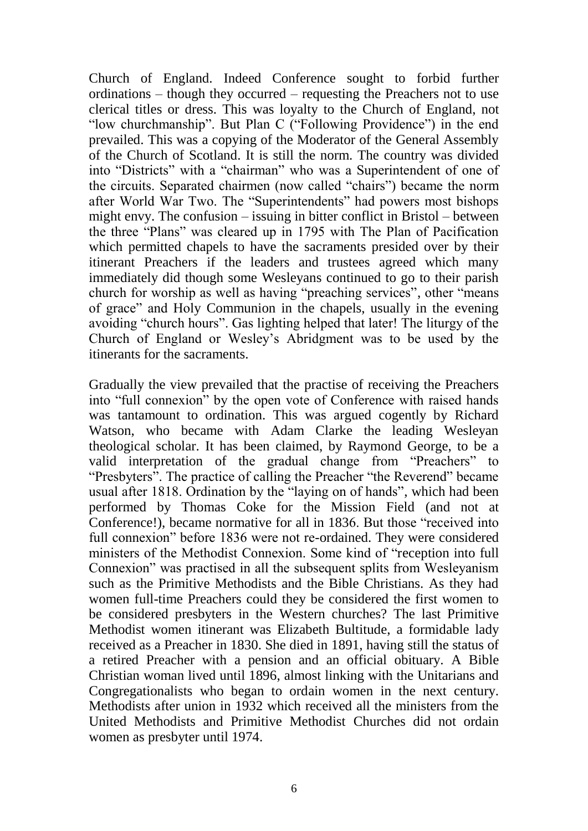Church of England. Indeed Conference sought to forbid further ordinations – though they occurred – requesting the Preachers not to use clerical titles or dress. This was loyalty to the Church of England, not "low churchmanship". But Plan C ("Following Providence") in the end prevailed. This was a copying of the Moderator of the General Assembly of the Church of Scotland. It is still the norm. The country was divided into "Districts" with a "chairman" who was a Superintendent of one of the circuits. Separated chairmen (now called "chairs") became the norm after World War Two. The "Superintendents" had powers most bishops might envy. The confusion – issuing in bitter conflict in Bristol – between the three "Plans" was cleared up in 1795 with The Plan of Pacification which permitted chapels to have the sacraments presided over by their itinerant Preachers if the leaders and trustees agreed which many immediately did though some Wesleyans continued to go to their parish church for worship as well as having "preaching services", other "means of grace" and Holy Communion in the chapels, usually in the evening avoiding "church hours". Gas lighting helped that later! The liturgy of the Church of England or Wesley's Abridgment was to be used by the itinerants for the sacraments.

Gradually the view prevailed that the practise of receiving the Preachers into "full connexion" by the open vote of Conference with raised hands was tantamount to ordination. This was argued cogently by Richard Watson, who became with Adam Clarke the leading Wesleyan theological scholar. It has been claimed, by Raymond George, to be a valid interpretation of the gradual change from "Preachers" to "Presbyters". The practice of calling the Preacher "the Reverend" became usual after 1818. Ordination by the "laying on of hands", which had been performed by Thomas Coke for the Mission Field (and not at Conference!), became normative for all in 1836. But those "received into full connexion" before 1836 were not re-ordained. They were considered ministers of the Methodist Connexion. Some kind of "reception into full Connexion" was practised in all the subsequent splits from Wesleyanism such as the Primitive Methodists and the Bible Christians. As they had women full-time Preachers could they be considered the first women to be considered presbyters in the Western churches? The last Primitive Methodist women itinerant was Elizabeth Bultitude, a formidable lady received as a Preacher in 1830. She died in 1891, having still the status of a retired Preacher with a pension and an official obituary. A Bible Christian woman lived until 1896, almost linking with the Unitarians and Congregationalists who began to ordain women in the next century. Methodists after union in 1932 which received all the ministers from the United Methodists and Primitive Methodist Churches did not ordain women as presbyter until 1974.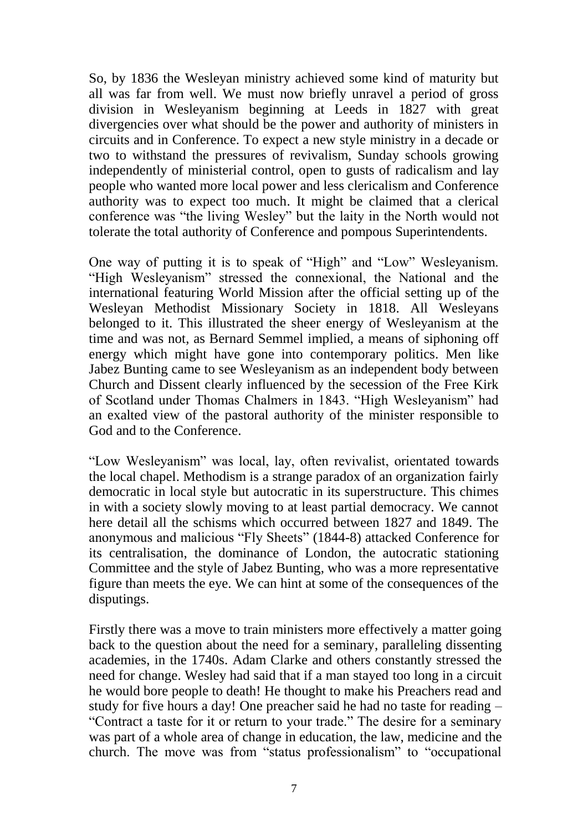So, by 1836 the Wesleyan ministry achieved some kind of maturity but all was far from well. We must now briefly unravel a period of gross division in Wesleyanism beginning at Leeds in 1827 with great divergencies over what should be the power and authority of ministers in circuits and in Conference. To expect a new style ministry in a decade or two to withstand the pressures of revivalism, Sunday schools growing independently of ministerial control, open to gusts of radicalism and lay people who wanted more local power and less clericalism and Conference authority was to expect too much. It might be claimed that a clerical conference was "the living Wesley" but the laity in the North would not tolerate the total authority of Conference and pompous Superintendents.

One way of putting it is to speak of "High" and "Low" Wesleyanism. "High Wesleyanism" stressed the connexional, the National and the international featuring World Mission after the official setting up of the Wesleyan Methodist Missionary Society in 1818. All Wesleyans belonged to it. This illustrated the sheer energy of Wesleyanism at the time and was not, as Bernard Semmel implied, a means of siphoning off energy which might have gone into contemporary politics. Men like Jabez Bunting came to see Wesleyanism as an independent body between Church and Dissent clearly influenced by the secession of the Free Kirk of Scotland under Thomas Chalmers in 1843. "High Wesleyanism" had an exalted view of the pastoral authority of the minister responsible to God and to the Conference.

"Low Wesleyanism" was local, lay, often revivalist, orientated towards the local chapel. Methodism is a strange paradox of an organization fairly democratic in local style but autocratic in its superstructure. This chimes in with a society slowly moving to at least partial democracy. We cannot here detail all the schisms which occurred between 1827 and 1849. The anonymous and malicious "Fly Sheets" (1844-8) attacked Conference for its centralisation, the dominance of London, the autocratic stationing Committee and the style of Jabez Bunting, who was a more representative figure than meets the eye. We can hint at some of the consequences of the disputings.

Firstly there was a move to train ministers more effectively a matter going back to the question about the need for a seminary, paralleling dissenting academies, in the 1740s. Adam Clarke and others constantly stressed the need for change. Wesley had said that if a man stayed too long in a circuit he would bore people to death! He thought to make his Preachers read and study for five hours a day! One preacher said he had no taste for reading – "Contract a taste for it or return to your trade." The desire for a seminary was part of a whole area of change in education, the law, medicine and the church. The move was from "status professionalism" to "occupational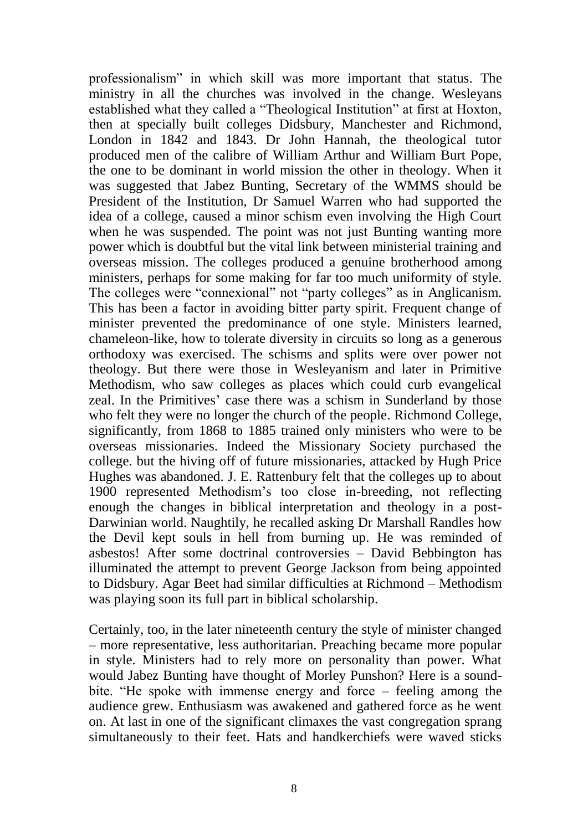professionalism" in which skill was more important that status. The ministry in all the churches was involved in the change. Wesleyans established what they called a "Theological Institution" at first at Hoxton, then at specially built colleges Didsbury, Manchester and Richmond, London in 1842 and 1843. Dr John Hannah, the theological tutor produced men of the calibre of William Arthur and William Burt Pope, the one to be dominant in world mission the other in theology. When it was suggested that Jabez Bunting, Secretary of the WMMS should be President of the Institution, Dr Samuel Warren who had supported the idea of a college, caused a minor schism even involving the High Court when he was suspended. The point was not just Bunting wanting more power which is doubtful but the vital link between ministerial training and overseas mission. The colleges produced a genuine brotherhood among ministers, perhaps for some making for far too much uniformity of style. The colleges were "connexional" not "party colleges" as in Anglicanism. This has been a factor in avoiding bitter party spirit. Frequent change of minister prevented the predominance of one style. Ministers learned, chameleon-like, how to tolerate diversity in circuits so long as a generous orthodoxy was exercised. The schisms and splits were over power not theology. But there were those in Wesleyanism and later in Primitive Methodism, who saw colleges as places which could curb evangelical zeal. In the Primitives' case there was a schism in Sunderland by those who felt they were no longer the church of the people. Richmond College, significantly, from 1868 to 1885 trained only ministers who were to be overseas missionaries. Indeed the Missionary Society purchased the college. but the hiving off of future missionaries, attacked by Hugh Price Hughes was abandoned. J. E. Rattenbury felt that the colleges up to about 1900 represented Methodism's too close in-breeding, not reflecting enough the changes in biblical interpretation and theology in a post-Darwinian world. Naughtily, he recalled asking Dr Marshall Randles how the Devil kept souls in hell from burning up. He was reminded of asbestos! After some doctrinal controversies – David Bebbington has illuminated the attempt to prevent George Jackson from being appointed to Didsbury. Agar Beet had similar difficulties at Richmond – Methodism was playing soon its full part in biblical scholarship.

Certainly, too, in the later nineteenth century the style of minister changed – more representative, less authoritarian. Preaching became more popular in style. Ministers had to rely more on personality than power. What would Jabez Bunting have thought of Morley Punshon? Here is a soundbite. "He spoke with immense energy and force – feeling among the audience grew. Enthusiasm was awakened and gathered force as he went on. At last in one of the significant climaxes the vast congregation sprang simultaneously to their feet. Hats and handkerchiefs were waved sticks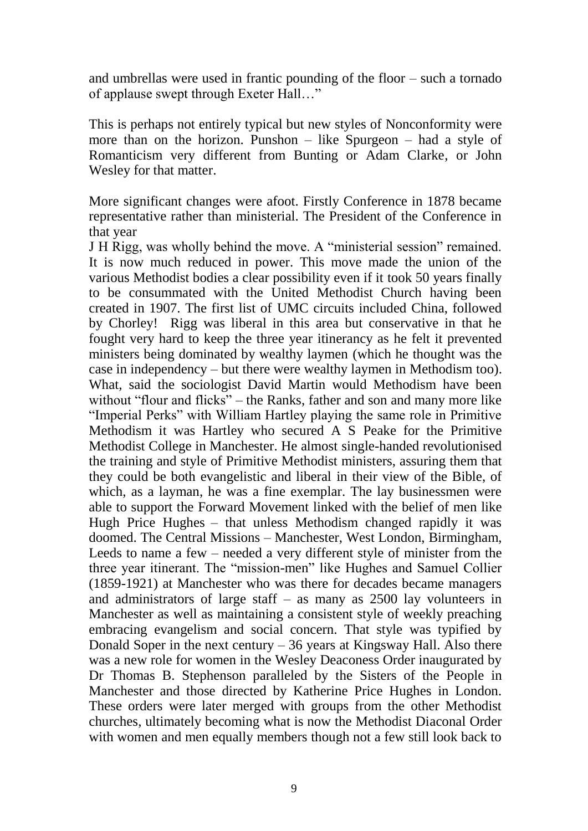and umbrellas were used in frantic pounding of the floor – such a tornado of applause swept through Exeter Hall…"

This is perhaps not entirely typical but new styles of Nonconformity were more than on the horizon. Punshon – like Spurgeon – had a style of Romanticism very different from Bunting or Adam Clarke, or John Wesley for that matter.

More significant changes were afoot. Firstly Conference in 1878 became representative rather than ministerial. The President of the Conference in that year

J H Rigg, was wholly behind the move. A "ministerial session" remained. It is now much reduced in power. This move made the union of the various Methodist bodies a clear possibility even if it took 50 years finally to be consummated with the United Methodist Church having been created in 1907. The first list of UMC circuits included China, followed by Chorley! Rigg was liberal in this area but conservative in that he fought very hard to keep the three year itinerancy as he felt it prevented ministers being dominated by wealthy laymen (which he thought was the case in independency – but there were wealthy laymen in Methodism too). What, said the sociologist David Martin would Methodism have been without "flour and flicks" – the Ranks, father and son and many more like "Imperial Perks" with William Hartley playing the same role in Primitive Methodism it was Hartley who secured A S Peake for the Primitive Methodist College in Manchester. He almost single-handed revolutionised the training and style of Primitive Methodist ministers, assuring them that they could be both evangelistic and liberal in their view of the Bible, of which, as a layman, he was a fine exemplar. The lay businessmen were able to support the Forward Movement linked with the belief of men like Hugh Price Hughes – that unless Methodism changed rapidly it was doomed. The Central Missions – Manchester, West London, Birmingham, Leeds to name a few – needed a very different style of minister from the three year itinerant. The "mission-men" like Hughes and Samuel Collier (1859-1921) at Manchester who was there for decades became managers and administrators of large staff – as many as 2500 lay volunteers in Manchester as well as maintaining a consistent style of weekly preaching embracing evangelism and social concern. That style was typified by Donald Soper in the next century  $-36$  years at Kingsway Hall. Also there was a new role for women in the Wesley Deaconess Order inaugurated by Dr Thomas B. Stephenson paralleled by the Sisters of the People in Manchester and those directed by Katherine Price Hughes in London. These orders were later merged with groups from the other Methodist churches, ultimately becoming what is now the Methodist Diaconal Order with women and men equally members though not a few still look back to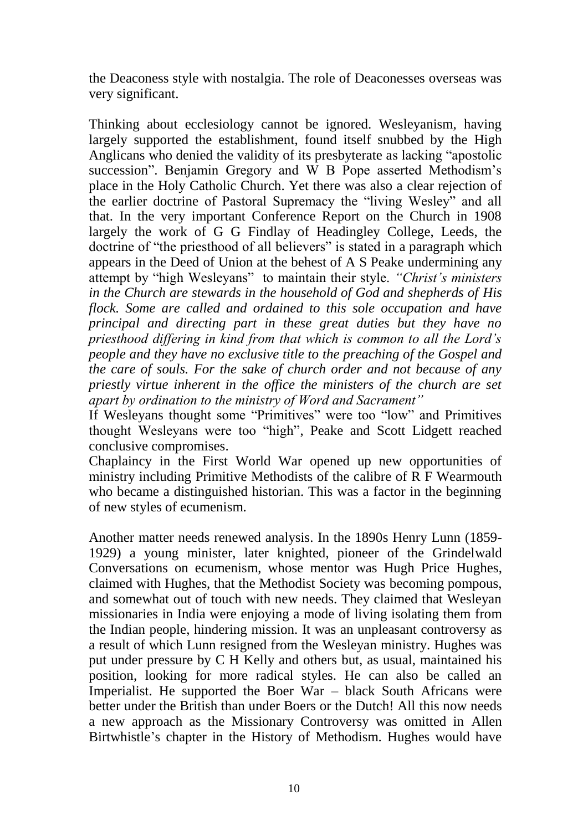the Deaconess style with nostalgia. The role of Deaconesses overseas was very significant.

Thinking about ecclesiology cannot be ignored. Wesleyanism, having largely supported the establishment, found itself snubbed by the High Anglicans who denied the validity of its presbyterate as lacking "apostolic succession". Benjamin Gregory and W B Pope asserted Methodism's place in the Holy Catholic Church. Yet there was also a clear rejection of the earlier doctrine of Pastoral Supremacy the "living Wesley" and all that. In the very important Conference Report on the Church in 1908 largely the work of G G Findlay of Headingley College, Leeds, the doctrine of "the priesthood of all believers" is stated in a paragraph which appears in the Deed of Union at the behest of A S Peake undermining any attempt by "high Wesleyans" to maintain their style. *"Christ's ministers in the Church are stewards in the household of God and shepherds of His flock. Some are called and ordained to this sole occupation and have principal and directing part in these great duties but they have no priesthood differing in kind from that which is common to all the Lord's people and they have no exclusive title to the preaching of the Gospel and the care of souls. For the sake of church order and not because of any priestly virtue inherent in the office the ministers of the church are set apart by ordination to the ministry of Word and Sacrament"*

If Wesleyans thought some "Primitives" were too "low" and Primitives thought Wesleyans were too "high", Peake and Scott Lidgett reached conclusive compromises.

Chaplaincy in the First World War opened up new opportunities of ministry including Primitive Methodists of the calibre of R F Wearmouth who became a distinguished historian. This was a factor in the beginning of new styles of ecumenism.

Another matter needs renewed analysis. In the 1890s Henry Lunn (1859- 1929) a young minister, later knighted, pioneer of the Grindelwald Conversations on ecumenism, whose mentor was Hugh Price Hughes, claimed with Hughes, that the Methodist Society was becoming pompous, and somewhat out of touch with new needs. They claimed that Wesleyan missionaries in India were enjoying a mode of living isolating them from the Indian people, hindering mission. It was an unpleasant controversy as a result of which Lunn resigned from the Wesleyan ministry. Hughes was put under pressure by C H Kelly and others but, as usual, maintained his position, looking for more radical styles. He can also be called an Imperialist. He supported the Boer War – black South Africans were better under the British than under Boers or the Dutch! All this now needs a new approach as the Missionary Controversy was omitted in Allen Birtwhistle's chapter in the History of Methodism. Hughes would have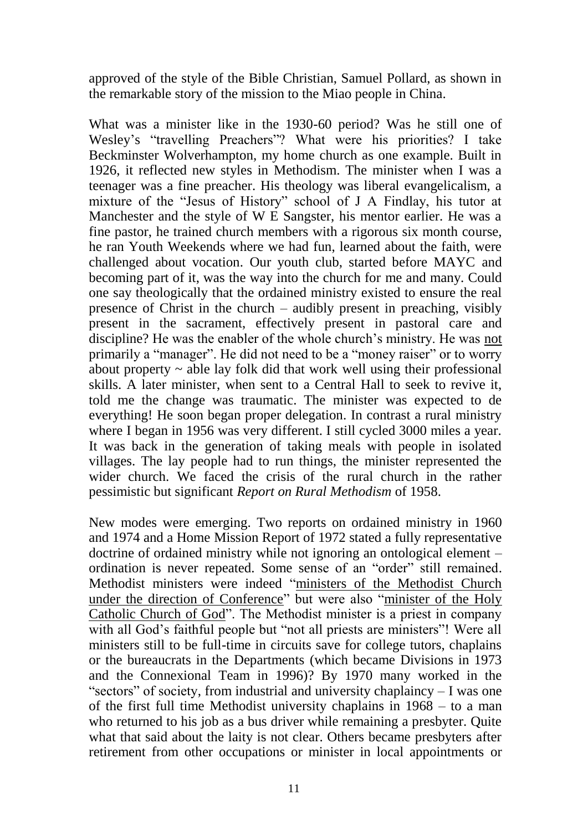approved of the style of the Bible Christian, Samuel Pollard, as shown in the remarkable story of the mission to the Miao people in China.

What was a minister like in the 1930-60 period? Was he still one of Wesley's "travelling Preachers"? What were his priorities? I take Beckminster Wolverhampton, my home church as one example. Built in 1926, it reflected new styles in Methodism. The minister when I was a teenager was a fine preacher. His theology was liberal evangelicalism, a mixture of the "Jesus of History" school of J A Findlay, his tutor at Manchester and the style of W E Sangster, his mentor earlier. He was a fine pastor, he trained church members with a rigorous six month course, he ran Youth Weekends where we had fun, learned about the faith, were challenged about vocation. Our youth club, started before MAYC and becoming part of it, was the way into the church for me and many. Could one say theologically that the ordained ministry existed to ensure the real presence of Christ in the church – audibly present in preaching, visibly present in the sacrament, effectively present in pastoral care and discipline? He was the enabler of the whole church's ministry. He was not primarily a "manager". He did not need to be a "money raiser" or to worry about property  $\sim$  able lay folk did that work well using their professional skills. A later minister, when sent to a Central Hall to seek to revive it, told me the change was traumatic. The minister was expected to de everything! He soon began proper delegation. In contrast a rural ministry where I began in 1956 was very different. I still cycled 3000 miles a year. It was back in the generation of taking meals with people in isolated villages. The lay people had to run things, the minister represented the wider church. We faced the crisis of the rural church in the rather pessimistic but significant *Report on Rural Methodism* of 1958.

New modes were emerging. Two reports on ordained ministry in 1960 and 1974 and a Home Mission Report of 1972 stated a fully representative doctrine of ordained ministry while not ignoring an ontological element – ordination is never repeated. Some sense of an "order" still remained. Methodist ministers were indeed "ministers of the Methodist Church under the direction of Conference" but were also "minister of the Holy Catholic Church of God". The Methodist minister is a priest in company with all God's faithful people but "not all priests are ministers"! Were all ministers still to be full-time in circuits save for college tutors, chaplains or the bureaucrats in the Departments (which became Divisions in 1973 and the Connexional Team in 1996)? By 1970 many worked in the "sectors" of society, from industrial and university chaplaincy – I was one of the first full time Methodist university chaplains in 1968 – to a man who returned to his job as a bus driver while remaining a presbyter. Quite what that said about the laity is not clear. Others became presbyters after retirement from other occupations or minister in local appointments or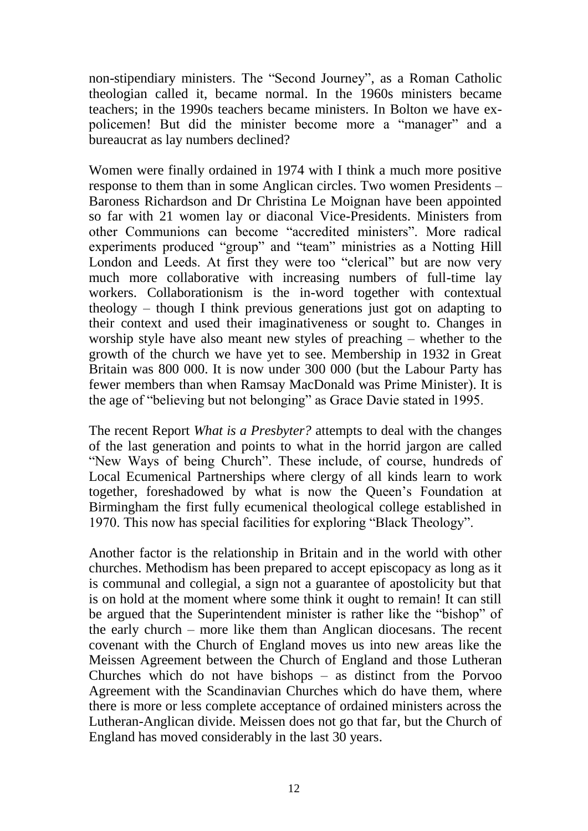non-stipendiary ministers. The "Second Journey", as a Roman Catholic theologian called it, became normal. In the 1960s ministers became teachers; in the 1990s teachers became ministers. In Bolton we have expolicemen! But did the minister become more a "manager" and a bureaucrat as lay numbers declined?

Women were finally ordained in 1974 with I think a much more positive response to them than in some Anglican circles. Two women Presidents – Baroness Richardson and Dr Christina Le Moignan have been appointed so far with 21 women lay or diaconal Vice-Presidents. Ministers from other Communions can become "accredited ministers". More radical experiments produced "group" and "team" ministries as a Notting Hill London and Leeds. At first they were too "clerical" but are now very much more collaborative with increasing numbers of full-time lay workers. Collaborationism is the in-word together with contextual theology – though I think previous generations just got on adapting to their context and used their imaginativeness or sought to. Changes in worship style have also meant new styles of preaching – whether to the growth of the church we have yet to see. Membership in 1932 in Great Britain was 800 000. It is now under 300 000 (but the Labour Party has fewer members than when Ramsay MacDonald was Prime Minister). It is the age of "believing but not belonging" as Grace Davie stated in 1995.

The recent Report *What is a Presbyter?* attempts to deal with the changes of the last generation and points to what in the horrid jargon are called "New Ways of being Church". These include, of course, hundreds of Local Ecumenical Partnerships where clergy of all kinds learn to work together, foreshadowed by what is now the Queen's Foundation at Birmingham the first fully ecumenical theological college established in 1970. This now has special facilities for exploring "Black Theology".

Another factor is the relationship in Britain and in the world with other churches. Methodism has been prepared to accept episcopacy as long as it is communal and collegial, a sign not a guarantee of apostolicity but that is on hold at the moment where some think it ought to remain! It can still be argued that the Superintendent minister is rather like the "bishop" of the early church – more like them than Anglican diocesans. The recent covenant with the Church of England moves us into new areas like the Meissen Agreement between the Church of England and those Lutheran Churches which do not have bishops – as distinct from the Porvoo Agreement with the Scandinavian Churches which do have them, where there is more or less complete acceptance of ordained ministers across the Lutheran-Anglican divide. Meissen does not go that far, but the Church of England has moved considerably in the last 30 years.